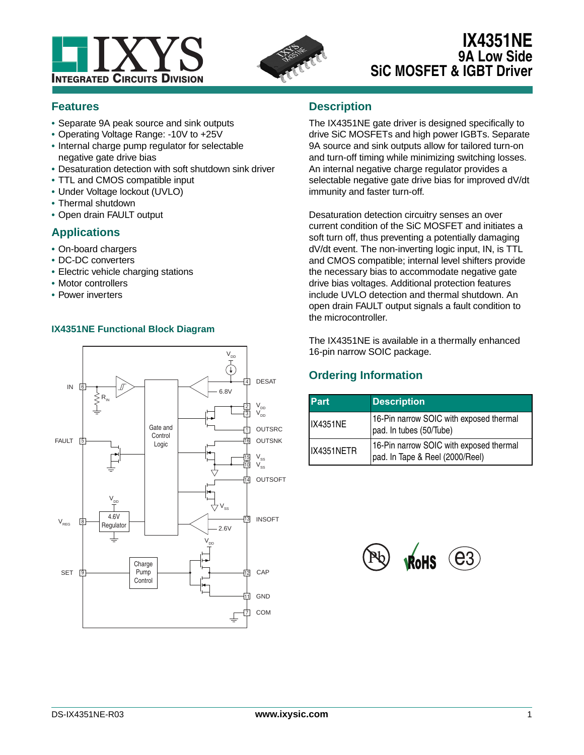



# **IX4351NE 9A Low Side SiC MOSFET & IGBT Driver**

## **Features**

- **•** Separate 9A peak source and sink outputs
- **•** Operating Voltage Range: -10V to +25V
- **•** Internal charge pump regulator for selectable negative gate drive bias
- **•** Desaturation detection with soft shutdown sink driver
- **•** TTL and CMOS compatible input
- **•** Under Voltage lockout (UVLO)
- **•** Thermal shutdown
- **•** Open drain FAULT output

## **Applications**

- **•** On-board chargers
- **•** DC-DC converters
- **•** Electric vehicle charging stations
- **•** Motor controllers
- **•** Power inverters

### **IX4351NE Functional Block Diagram**



## **Description**

The IX4351NE gate driver is designed specifically to drive SiC MOSFETs and high power IGBTs. Separate 9A source and sink outputs allow for tailored turn-on and turn-off timing while minimizing switching losses. An internal negative charge regulator provides a selectable negative gate drive bias for improved dV/dt immunity and faster turn-off.

Desaturation detection circuitry senses an over current condition of the SiC MOSFET and initiates a soft turn off, thus preventing a potentially damaging dV/dt event. The non-inverting logic input, IN, is TTL and CMOS compatible; internal level shifters provide the necessary bias to accommodate negative gate drive bias voltages. Additional protection features include UVLO detection and thermal shutdown. An open drain FAULT output signals a fault condition to the microcontroller.

The IX4351NE is available in a thermally enhanced 16-pin narrow SOIC package.

## **Ordering Information**

| <b>Part</b>     | <b>Description</b>                                                         |
|-----------------|----------------------------------------------------------------------------|
| <b>IX4351NE</b> | 16-Pin narrow SOIC with exposed thermal<br>pad. In tubes (50/Tube)         |
| IX4351NETR      | 16-Pin narrow SOIC with exposed thermal<br>pad. In Tape & Reel (2000/Reel) |

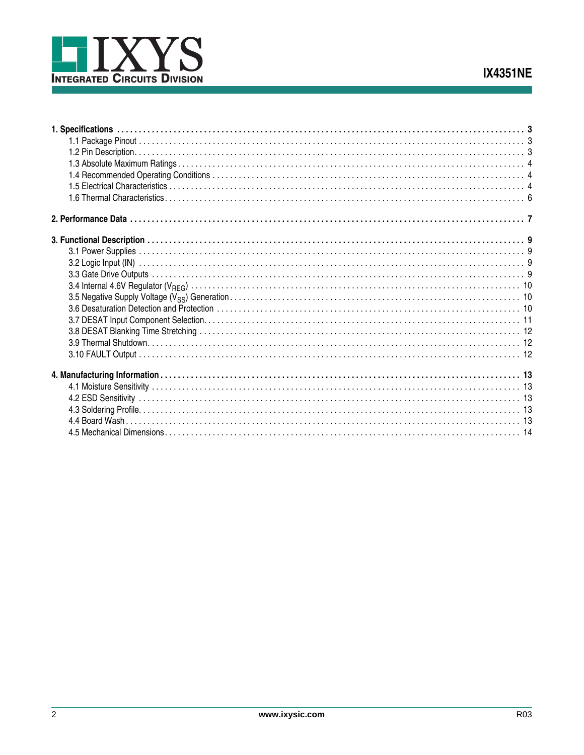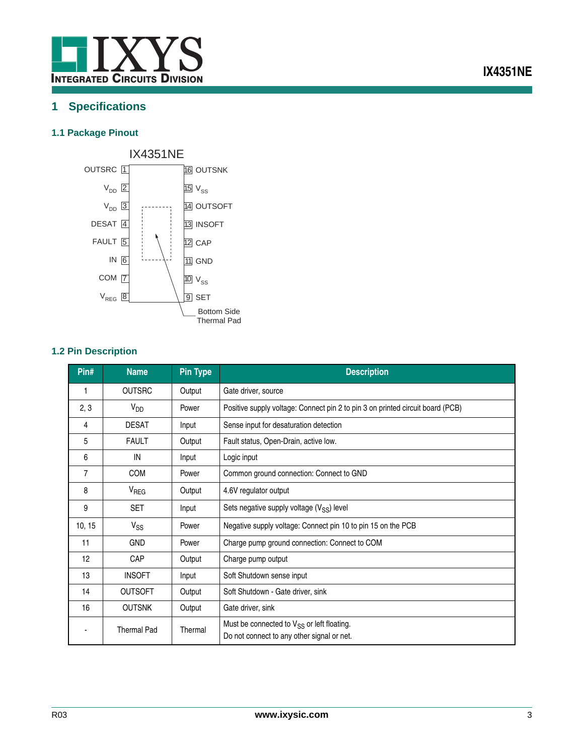

# <span id="page-2-0"></span>**1 Specifications**

### <span id="page-2-1"></span>**1.1 Package Pinout**



## <span id="page-2-2"></span>**1.2 Pin Description**

| Pin#   | <b>Name</b>        | <b>Pin Type</b> | <b>Description</b>                                                                                   |
|--------|--------------------|-----------------|------------------------------------------------------------------------------------------------------|
|        | <b>OUTSRC</b>      | Output          | Gate driver, source                                                                                  |
| 2, 3   | $V_{DD}$           | Power           | Positive supply voltage: Connect pin 2 to pin 3 on printed circuit board (PCB)                       |
| 4      | <b>DESAT</b>       | Input           | Sense input for desaturation detection                                                               |
| 5      | <b>FAULT</b>       | Output          | Fault status, Open-Drain, active low.                                                                |
| 6      | IN                 | Input           | Logic input                                                                                          |
| 7      | <b>COM</b>         | Power           | Common ground connection: Connect to GND                                                             |
| 8      | $V_{\text{REG}}$   | Output          | 4.6V regulator output                                                                                |
| 9      | <b>SET</b>         | Input           | Sets negative supply voltage $(V_{SS})$ level                                                        |
| 10, 15 | $V_{SS}$           | Power           | Negative supply voltage: Connect pin 10 to pin 15 on the PCB                                         |
| 11     | <b>GND</b>         | Power           | Charge pump ground connection: Connect to COM                                                        |
| 12     | <b>CAP</b>         | Output          | Charge pump output                                                                                   |
| 13     | <b>INSOFT</b>      | Input           | Soft Shutdown sense input                                                                            |
| 14     | <b>OUTSOFT</b>     | Output          | Soft Shutdown - Gate driver, sink                                                                    |
| 16     | <b>OUTSNK</b>      | Output          | Gate driver, sink                                                                                    |
|        | <b>Thermal Pad</b> | Thermal         | Must be connected to V <sub>SS</sub> or left floating.<br>Do not connect to any other signal or net. |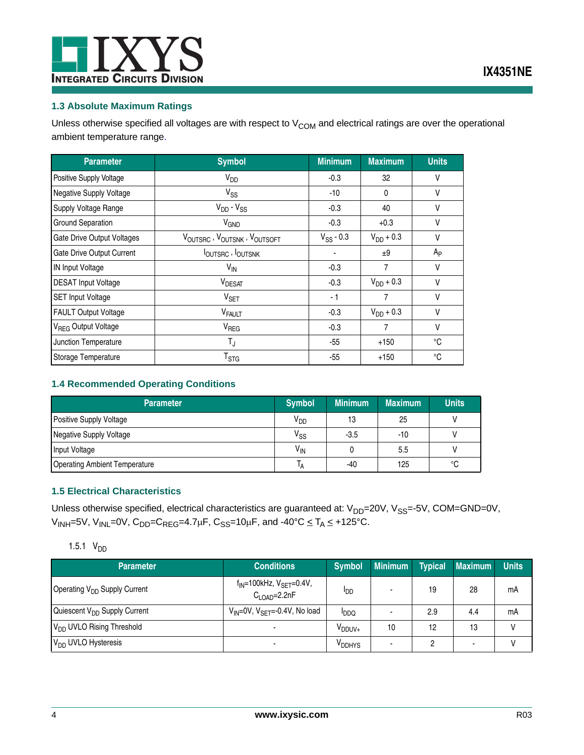

#### <span id="page-3-0"></span>**1.3 Absolute Maximum Ratings**

Unless otherwise specified all voltages are with respect to  $V_{COM}$  and electrical ratings are over the operational ambient temperature range.

| <b>Parameter</b>                | <b>Symbol</b>                   | <b>Minimum</b> | <b>Maximum</b> | <b>Units</b> |
|---------------------------------|---------------------------------|----------------|----------------|--------------|
| Positive Supply Voltage         | $V_{DD}$                        | $-0.3$         | 32             | ٧            |
| Negative Supply Voltage         | $V_{SS}$                        | $-10$          | $\Omega$       | v            |
| Supply Voltage Range            | $V_{DD} - V_{SS}$               | $-0.3$         | 40             | ٧            |
| <b>Ground Separation</b>        | V <sub>GND</sub>                | $-0.3$         | $+0.3$         | v            |
| Gate Drive Output Voltages      | VOUTSRC, VOUTSNK, VOUTSOFT      | $V_{SS}$ - 0.3 | $V_{DD}$ + 0.3 | v            |
| Gate Drive Output Current       | <b>IOUTSRC</b> , <b>IOUTSNK</b> |                | ±9             | Ap           |
| <b>IN Input Voltage</b>         | $V_{\text{IN}}$                 | $-0.3$         | 7              | v            |
| <b>DESAT Input Voltage</b>      | V <sub>DESAT</sub>              | $-0.3$         | $V_{DD}$ + 0.3 | ۷            |
| <b>SET Input Voltage</b>        | $V_{\text{SET}}$                | - 1            | 7              | v            |
| <b>FAULT Output Voltage</b>     | V <sub>FAULT</sub>              | $-0.3$         | $V_{DD} + 0.3$ | V            |
| V <sub>REG</sub> Output Voltage | V <sub>REG</sub>                | $-0.3$         | 7              | V            |
| Junction Temperature            | $T_{\rm J}$                     | $-55$          | $+150$         | °C           |
| Storage Temperature             | $T_{\text{STG}}$                | -55            | $+150$         | °C           |

### <span id="page-3-1"></span>**1.4 Recommended Operating Conditions**

| Parameter                            | <b>Symbol</b>   | <b>Minimum</b> | <b>Maximum</b> | <b>Units</b> |
|--------------------------------------|-----------------|----------------|----------------|--------------|
| Positive Supply Voltage              | V <sub>DD</sub> | 13             | 25             |              |
| Negative Supply Voltage              | $V_{SS}$        | $-3.5$         | -10            |              |
| Input Voltage                        | V <sub>IN</sub> |                | 5.5            |              |
| <b>Operating Ambient Temperature</b> | ١д              | -40            | 125            | °C           |

### <span id="page-3-2"></span>**1.5 Electrical Characteristics**

Unless otherwise specified, electrical characteristics are guaranteed at: V<sub>DD</sub>=20V, V<sub>SS</sub>=-5V, COM=GND=0V,  $\rm V_{INH}$ =5V, V<sub>INL</sub>=0V, C<sub>DD</sub>=C<sub>REG</sub>=4.7µF, C<sub>SS</sub>=10µF, and -40°C  $\leq$  T<sub>A</sub>  $\leq$  +125°C.

### 1.5.1  $V_{DD}$

| <b>Parameter</b>                         | <b>Conditions</b>                                                | Symbol <sup>'</sup> | <b>Minimum</b> | <b>Typical</b> | <b>Maximum</b>           | <b>Units</b> |
|------------------------------------------|------------------------------------------------------------------|---------------------|----------------|----------------|--------------------------|--------------|
| Operating V <sub>DD</sub> Supply Current | $f_{IN}$ =100kHz, $V_{SET}$ =0.4V,<br>$C1$ $_{\text{OAD}}=2.2nF$ | <b>I</b> DD         |                | 19             | 28                       | mA           |
| Quiescent V <sub>DD</sub> Supply Current | $V_{\text{IN}}$ =0V, $V_{\text{SET}}$ =-0.4V, No load            | <b>PDO</b>          |                | 2.9            | 4.4                      | mA           |
| V <sub>DD</sub> UVLO Rising Threshold    |                                                                  | V <sub>DDUV+</sub>  | 10             | 12             | 13                       |              |
| V <sub>DD</sub> UVLO Hysteresis          |                                                                  | V <sub>DDHYS</sub>  |                |                | $\overline{\phantom{a}}$ |              |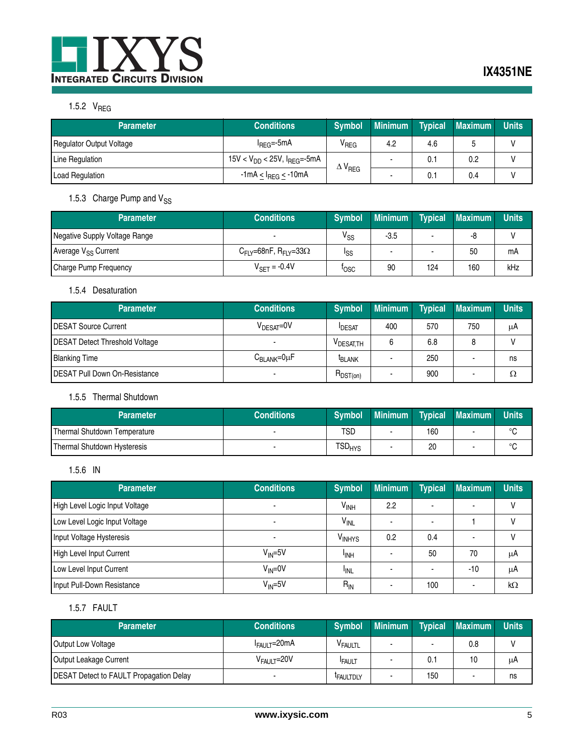## 1.5.2 V<sub>REG</sub>

| <b>Parameter</b>                | Conditions <sup>1</sup>                      | <b>Symbol</b>             | <b>Minimum</b> | <b>Typical</b> | <b>Maximum</b> | Units |
|---------------------------------|----------------------------------------------|---------------------------|----------------|----------------|----------------|-------|
| <b>Regulator Output Voltage</b> | l <sub>REG</sub> =-5mA                       | V <sub>REG</sub>          | 4.2            | 4.6            |                |       |
| Line Regulation                 | 15V < $V_{DD}$ < 25V, $I_{REG}$ =-5mA        | $\wedge$ V <sub>REG</sub> |                | 0.1            | 0.2            |       |
| <b>Load Regulation</b>          | $-1$ mA $\leq$ I <sub>REG</sub> $\leq$ -10mA |                           |                |                | 0.4            |       |

## 1.5.3 Charge Pump and  $V_{SS}$

| <b>Parameter</b>                | <b>Conditions</b>                                 | <b>Symbol</b> | <b>Minimum</b> |     | <b>Typical Maximum</b> | <b>Units</b> |
|---------------------------------|---------------------------------------------------|---------------|----------------|-----|------------------------|--------------|
| Negative Supply Voltage Range   |                                                   | $V_{SS}$      | $-3.5$         |     | -8                     |              |
| Average V <sub>SS</sub> Current | $C_{FI}$ $\sim$ 68nF, $R_{FI}$ $\sim$ 33 $\Omega$ | Iss           |                |     | 50                     | mA           |
| Charge Pump Frequency           | $V_{\text{SET}} = -0.4V$                          | losc          | 90             | 124 | 160                    | kHz          |

#### 1.5.4 Desaturation

| <b>Parameter</b>                      | <b>Conditions</b>            | <b>Symbol</b>         | <b>Minimum</b> | <b>Typical</b> | <b>Maximum</b> | Units |
|---------------------------------------|------------------------------|-----------------------|----------------|----------------|----------------|-------|
| <b>DESAT Source Current</b>           | $\rm V_{DESAT}$ =0V          | <b>IDESAT</b>         | 400            | 570            | 750            | μA    |
| <b>DESAT Detect Threshold Voltage</b> |                              | V <sub>DESAT,TH</sub> |                | 6.8            |                |       |
| <b>Blanking Time</b>                  | $C_{\text{BLANK}} = 0 \mu F$ | <sup>L</sup> BLANK    |                | 250            |                | ns    |
| <b>IDESAT Pull Down On-Resistance</b> |                              | $R_{DST(on)}$         |                | 900            |                |       |

#### 1.5.5 Thermal Shutdown

| <b>Parameter</b>             | <b>Conditions</b> | <b>Symbol</b>                 | <b>Minimum</b> | <b>Typical</b> | Maximum <sup>1</sup> | <b>Units</b> |
|------------------------------|-------------------|-------------------------------|----------------|----------------|----------------------|--------------|
| Thermal Shutdown Temperature |                   | TSD                           |                | 160            |                      | $\sim$       |
| Thermal Shutdown Hysteresis  |                   | $\mathsf{TSD}_{\mathsf{HYS}}$ |                | 20             | -                    | $\sim$       |

1.5.6 IN

| <b>Parameter</b>               | <b>Conditions</b> | <b>Symbol</b>      | <b>Minimum</b> | <b>Typical</b> | <b>Maximum</b>           | <b>Units</b> |
|--------------------------------|-------------------|--------------------|----------------|----------------|--------------------------|--------------|
| High Level Logic Input Voltage |                   | V <sub>INH</sub>   | 2.2            |                | $\overline{\phantom{a}}$ | V            |
| Low Level Logic Input Voltage  |                   | $V_{INL}$          |                |                |                          | $\mathsf{V}$ |
| Input Voltage Hysteresis       |                   | V <sub>INHYS</sub> | 0.2            | 0.4            |                          | V            |
| High Level Input Current       | $V_{IN} = 5V$     | <sup>I</sup> INH   |                | 50             | 70                       | μA           |
| Low Level Input Current        | $V_{IN} = 0V$     | <sup>I</sup> INL   |                | ۰              | $-10$                    | μA           |
| Input Pull-Down Resistance     | $V_{IN} = 5V$     | $R_{IN}$           |                | 100            | $\overline{\phantom{a}}$ | $k\Omega$    |

#### 1.5.7 FAULT

| <b>Parameter</b>                        | <b>Conditions</b>        | <b>Symbol</b>       | <b>Minimum</b> | Typical | <b>Maximum</b> | <b>Units</b> |
|-----------------------------------------|--------------------------|---------------------|----------------|---------|----------------|--------------|
| Output Low Voltage                      | I <sub>FAULT</sub> =20mA | <sup>V</sup> FAULTL |                |         | 0.8            |              |
| Output Leakage Current                  | V <sub>FAULT</sub> =20V  | <b>FAULT</b>        |                | 0.1     | 10             | μA           |
| DESAT Detect to FAULT Propagation Delay |                          | <b>FAULTDLY</b>     |                | 150     |                | ns           |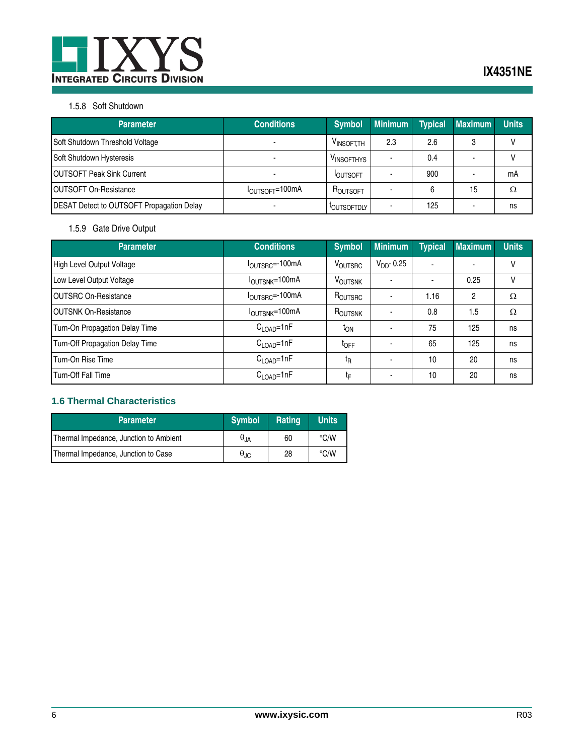

#### 1.5.8 Soft Shutdown

| Parameter                                 | <b>Conditions</b>                    | <b>Symbol</b>      | <b>Minimum</b> | <b>Typical</b> | <b>Maximum</b> | <b>Units</b> |
|-------------------------------------------|--------------------------------------|--------------------|----------------|----------------|----------------|--------------|
| Soft Shutdown Threshold Voltage           |                                      | VINSOFT.TH         | 2.3            | 2.6            | 3              |              |
| Soft Shutdown Hysteresis                  |                                      | VINSOFTHYS         |                | 0.4            |                |              |
| <b>IOUTSOFT Peak Sink Current</b>         |                                      | <b>IOUTSOFT</b>    |                | 900            |                | mΑ           |
| <b>OUTSOFT On-Resistance</b>              | $I_{\text{OUTSOFT}} = 100 \text{mA}$ | ROUTSOFT           |                |                | 15             |              |
| DESAT Detect to OUTSOFT Propagation Delay |                                      | <b>LOUTSOFTDLY</b> |                | 125            |                | ns           |

## 1.5.9 Gate Drive Output

| <b>Parameter</b>                | <b>Conditions</b>                   | <b>Symbol</b>       | <b>Minimum</b> | <b>Typical</b>           | <b>Maximum</b>           | <b>Units</b> |
|---------------------------------|-------------------------------------|---------------------|----------------|--------------------------|--------------------------|--------------|
| High Level Output Voltage       | $I_{\text{OUTSRC}} = 100 \text{mA}$ | VOUTSRC             | $VDD$ - 0.25   | $\overline{\phantom{a}}$ | $\overline{\phantom{0}}$ | v            |
| Low Level Output Voltage        | I <sub>OUTSNK</sub> =100mA          | V <sub>OUTSNK</sub> | ۰              | $\overline{\phantom{a}}$ | 0.25                     | v            |
| <b>OUTSRC On-Resistance</b>     | l <sub>OUTSRC</sub> =-100mA         | $R_{\text{OUTSRC}}$ |                | 1.16                     | 2                        | $\Omega$     |
| <b>OUTSNK On-Resistance</b>     | I <sub>OUTSNK</sub> =100mA          | ROUTSNK             |                | 0.8                      | 1.5                      | $\Omega$     |
| Turn-On Propagation Delay Time  | $C_{\text{LOAD}} = 1nF$             | ι <sub>ΟΝ</sub>     |                | 75                       | 125                      | ns           |
| Turn-Off Propagation Delay Time | $C_{\text{LOAD}} = 1nF$             | $I_{\text{OFF}}$    |                | 65                       | 125                      | ns           |
| Turn-On Rise Time               | $C_{\text{LOAD}} = 1nF$             | t <sub>R</sub>      |                | 10                       | 20                       | ns           |
| Turn-Off Fall Time              | $C_{\text{LOAD}} = 1nF$             | ţ                   |                | 10                       | 20                       | ns           |

### <span id="page-5-0"></span>**1.6 Thermal Characteristics**

| <b>Parameter</b>                       | <b>Symbol</b>      | Rating | <b>Units</b>  |
|----------------------------------------|--------------------|--------|---------------|
| Thermal Impedance, Junction to Ambient | $\theta_{J}$       | 60     | $\degree$ C/W |
| Thermal Impedance, Junction to Case    | $\theta_{\rm inc}$ | 28     | $\degree$ C/W |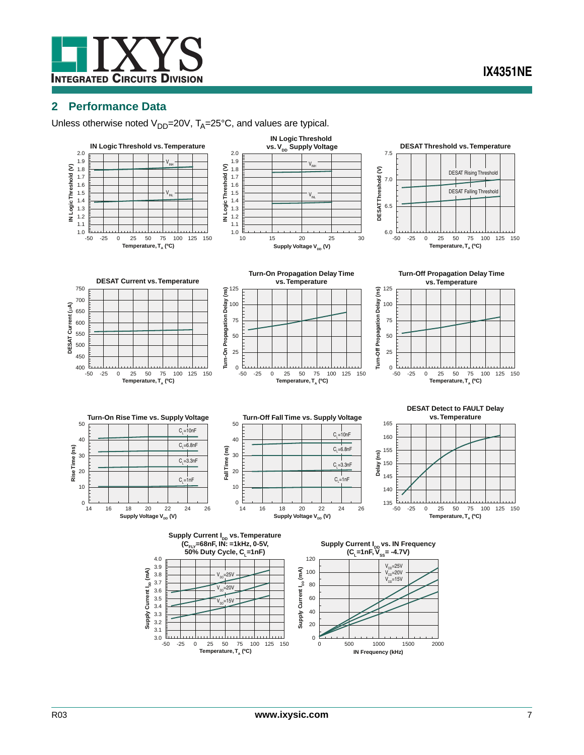

### <span id="page-6-0"></span>**2 Performance Data**

Unless otherwise noted  $V_{DD}$ =20V,  $T_A$ =25°C, and values are typical.

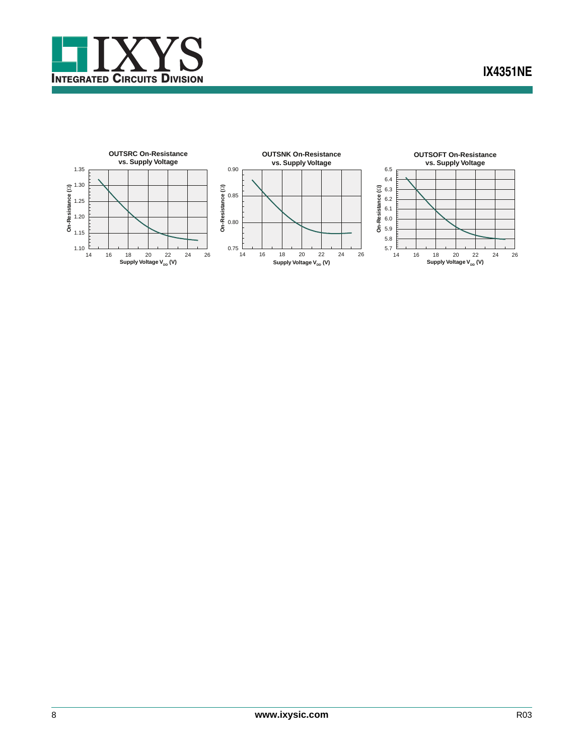

**IX4351NE**

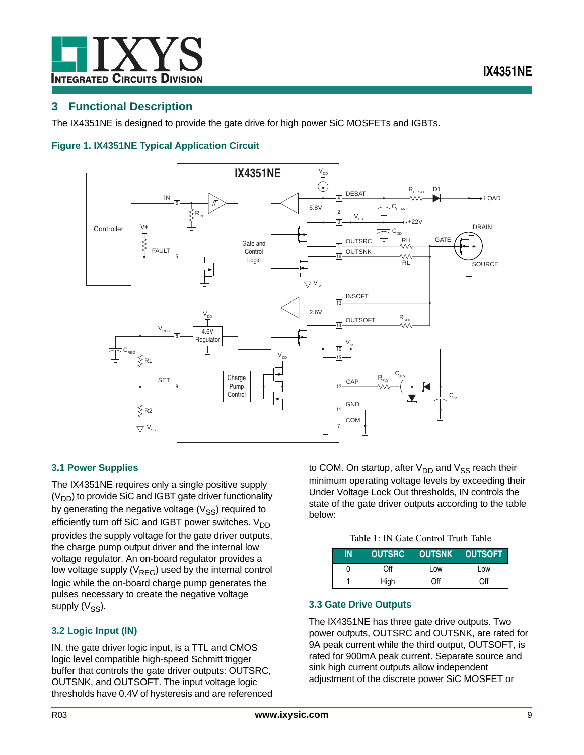

### <span id="page-8-0"></span>**3 Functional Description**

The IX4351NE is designed to provide the gate drive for high power SiC MOSFETs and IGBTs.

#### <span id="page-8-4"></span>**Figure 1. IX4351NE Typical Application Circuit**



### <span id="page-8-1"></span>**3.1 Power Supplies**

The IX4351NE requires only a single positive supply  $(V<sub>DD</sub>)$  to provide SiC and IGBT gate driver functionality by generating the negative voltage  $(V_{SS})$  required to efficiently turn off SiC and IGBT power switches.  $V_{DD}$ provides the supply voltage for the gate driver outputs, the charge pump output driver and the internal low voltage regulator. An on-board regulator provides a low voltage supply  $(V_{REG})$  used by the internal control logic while the on-board charge pump generates the pulses necessary to create the negative voltage supply  $(V_{SS})$ .

#### <span id="page-8-2"></span>**3.2 Logic Input (IN)**

IN, the gate driver logic input, is a TTL and CMOS logic level compatible high-speed Schmitt trigger buffer that controls the gate driver outputs: OUTSRC, OUTSNK, and OUTSOFT. The input voltage logic thresholds have 0.4V of hysteresis and are referenced to COM. On startup, after  $V_{DD}$  and  $V_{SS}$  reach their minimum operating voltage levels by exceeding their Under Voltage Lock Out thresholds, IN controls the state of the gate driver outputs according to the table below:

|  |  | Table 1: IN Gate Control Truth Table |  |
|--|--|--------------------------------------|--|
|  |  |                                      |  |

| IN | <b>OUTSRC</b> | <b>OUTSNK</b> | <b>OUTSOFT</b> |
|----|---------------|---------------|----------------|
| 0  | Off           | Low           | Low            |
|    | High          | Off           | Off            |

#### <span id="page-8-3"></span>**3.3 Gate Drive Outputs**

The IX4351NE has three gate drive outputs. Two power outputs, OUTSRC and OUTSNK, are rated for 9A peak current while the third output, OUTSOFT, is rated for 900mA peak current. Separate source and sink high current outputs allow independent adjustment of the discrete power SiC MOSFET or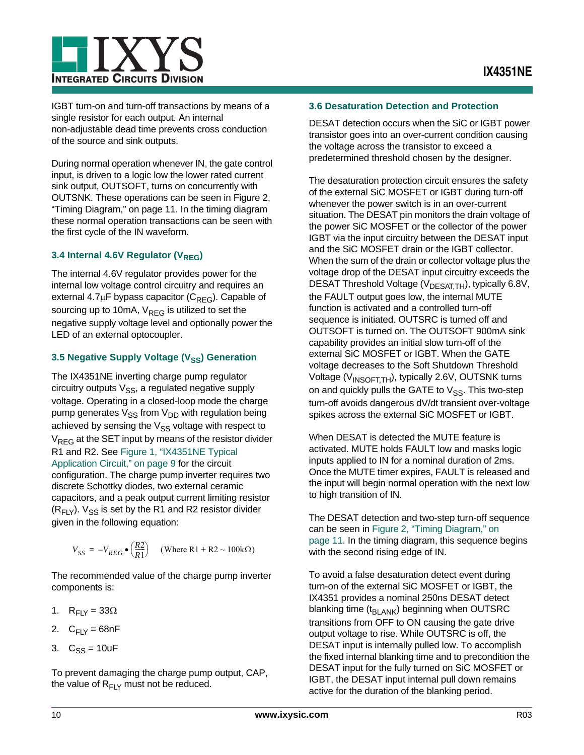

IGBT turn-on and turn-off transactions by means of a single resistor for each output. An internal non-adjustable dead time prevents cross conduction of the source and sink outputs.

During normal operation whenever IN, the gate control input, is driven to a logic low the lower rated current sink output, OUTSOFT, turns on concurrently with OUTSNK. These operations can be seen in [Figure 2,](#page-10-1)  ["Timing Diagram," on page 11](#page-10-1). In the timing diagram these normal operation transactions can be seen with the first cycle of the IN waveform.

### <span id="page-9-0"></span>**3.4 Internal 4.6V Regulator (V<sub>REG</sub>)**

The internal 4.6V regulator provides power for the internal low voltage control circuitry and requires an external 4.7 $\mu$ F bypass capacitor (C<sub>REG</sub>). Capable of sourcing up to 10mA,  $V_{REG}$  is utilized to set the negative supply voltage level and optionally power the LED of an external optocoupler.

### <span id="page-9-1"></span>**3.5 Negative Supply Voltage (V<sub>SS</sub>) Generation**

The IX4351NE inverting charge pump regulator circuitry outputs  $V_{SS}$ , a regulated negative supply voltage. Operating in a closed-loop mode the charge pump generates  $V_{SS}$  from  $V_{DD}$  with regulation being achieved by sensing the  $V_{SS}$  voltage with respect to  $V_{RFG}$  at the SET input by means of the resistor divider R1 and R2. See [Figure 1, "IX4351NE Typical](#page-8-4)  [Application Circuit," on page 9](#page-8-4) for the circuit configuration. The charge pump inverter requires two discrete Schottky diodes, two external ceramic capacitors, and a peak output current limiting resistor  $(R_{F1Y})$ .  $V_{SS}$  is set by the R1 and R2 resistor divider given in the following equation:

$$
V_{SS} = -V_{REG} \bullet \left(\frac{R2}{R1}\right) \quad \text{(Where R1 + R2 ~ 100 k\Omega)}
$$

The recommended value of the charge pump inverter components is:

- 1.  $R_{\text{FIV}} = 33\Omega$
- 2.  $C_{F1Y} = 68nF$
- 3.  $C_{SS} = 10uF$

To prevent damaging the charge pump output, CAP, the value of  $R_{FLY}$  must not be reduced.

#### <span id="page-9-2"></span>**3.6 Desaturation Detection and Protection**

DESAT detection occurs when the SiC or IGBT power transistor goes into an over-current condition causing the voltage across the transistor to exceed a predetermined threshold chosen by the designer.

The desaturation protection circuit ensures the safety of the external SiC MOSFET or IGBT during turn-off whenever the power switch is in an over-current situation. The DESAT pin monitors the drain voltage of the power SiC MOSFET or the collector of the power IGBT via the input circuitry between the DESAT input and the SiC MOSFET drain or the IGBT collector. When the sum of the drain or collector voltage plus the voltage drop of the DESAT input circuitry exceeds the DESAT Threshold Voltage (V<sub>DESAT,TH</sub>), typically 6.8V, the FAULT output goes low, the internal MUTE function is activated and a controlled turn-off sequence is initiated. OUTSRC is turned off and OUTSOFT is turned on. The OUTSOFT 900mA sink capability provides an initial slow turn-off of the external SiC MOSFET or IGBT. When the GATE voltage decreases to the Soft Shutdown Threshold Voltage (V<sub>INSOFT,TH</sub>), typically 2.6V, OUTSNK turns on and quickly pulls the GATE to  $V_{SS}$ . This two-step turn-off avoids dangerous dV/dt transient over-voltage spikes across the external SiC MOSFET or IGBT.

When DESAT is detected the MUTE feature is activated. MUTE holds FAULT low and masks logic inputs applied to IN for a nominal duration of 2ms. Once the MUTE timer expires, FAULT is released and the input will begin normal operation with the next low to high transition of IN.

The DESAT detection and two-step turn-off sequence can be seen in [Figure 2, "Timing Diagram," on](#page-10-1)  [page 11](#page-10-1). In the timing diagram, this sequence begins with the second rising edge of IN.

To avoid a false desaturation detect event during turn-on of the external SiC MOSFET or IGBT, the IX4351 provides a nominal 250ns DESAT detect blanking time ( $t_{BLANK}$ ) beginning when OUTSRC transitions from OFF to ON causing the gate drive output voltage to rise. While OUTSRC is off, the DESAT input is internally pulled low. To accomplish the fixed internal blanking time and to precondition the DESAT input for the fully turned on SiC MOSFET or IGBT, the DESAT input internal pull down remains active for the duration of the blanking period.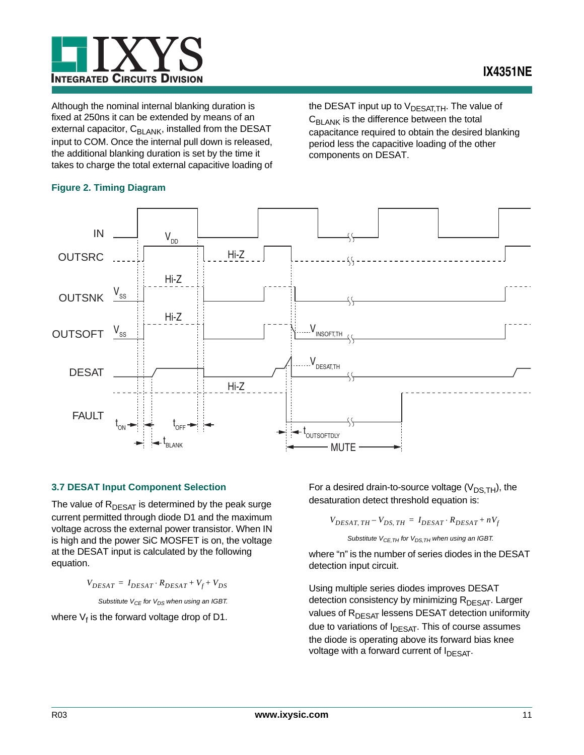

Although the nominal internal blanking duration is fixed at 250ns it can be extended by means of an external capacitor,  $C_{\text{BLANK}}$ , installed from the DESAT input to COM. Once the internal pull down is released, the additional blanking duration is set by the time it takes to charge the total external capacitive loading of the DESAT input up to  $V_{DESAT,TH}$ . The value of  $C<sub>BLANK</sub>$  is the difference between the total capacitance required to obtain the desired blanking period less the capacitive loading of the other components on DESAT.



### <span id="page-10-1"></span>**Figure 2. Timing Diagram**

#### <span id="page-10-0"></span>**3.7 DESAT Input Component Selection**

The value of  $R_{DESAT}$  is determined by the peak surge current permitted through diode D1 and the maximum voltage across the external power transistor. When IN is high and the power SiC MOSFET is on, the voltage at the DESAT input is calculated by the following equation.

$$
V_{DESAT} = I_{DESAT} \cdot R_{DESAT} + V_f + V_{DS}
$$

*Substitute V<sub>CE</sub> for V<sub>DS</sub> when using an IGBT.* 

where  $\vee_f$  is the forward voltage drop of D1.

For a desired drain-to-source voltage  $(V_{DS,TH})$ , the desaturation detect threshold equation is:

$$
V_{DESAT, TH} - V_{DS, TH} = I_{DESAT} \cdot R_{DESAT} + nV_f
$$
  
Substitute  $V_{CE, TH}$  for  $V_{DS, TH}$  when using an IGET.

where "n" is the number of series diodes in the DESAT detection input circuit.

Using multiple series diodes improves DESAT detection consistency by minimizing  $R<sub>DESAT</sub>$ . Larger values of R<sub>DESAT</sub> lessens DESAT detection uniformity due to variations of  $I_{DESAT}$ . This of course assumes the diode is operating above its forward bias knee voltage with a forward current of  $I_{DESAT}$ .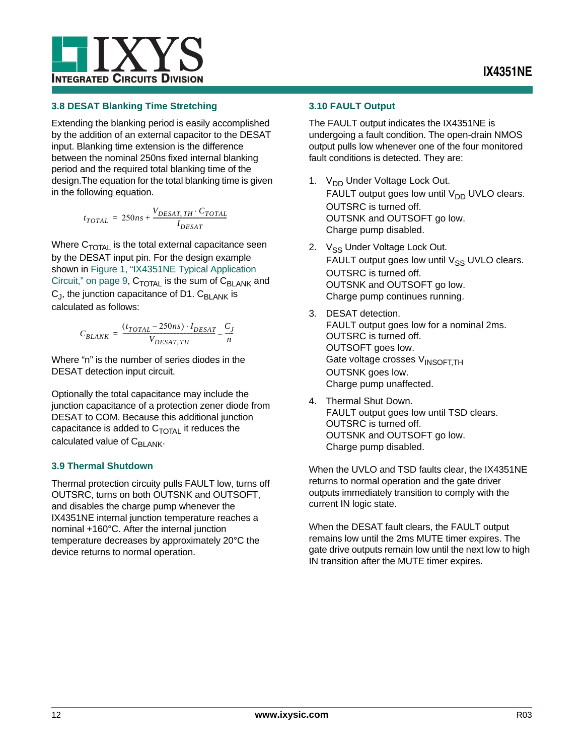

#### <span id="page-11-0"></span>**3.8 DESAT Blanking Time Stretching**

Extending the blanking period is easily accomplished by the addition of an external capacitor to the DESAT input. Blanking time extension is the difference between the nominal 250ns fixed internal blanking period and the required total blanking time of the design.The equation for the total blanking time is given in the following equation.

$$
t_{TOTAL} = 250ns + \frac{V_{DESAT, TH} \cdot C_{TOTAL}}{I_{DESAT}}
$$

Where  $C_{\text{TOTAL}}$  is the total external capacitance seen by the DESAT input pin. For the design example shown in [Figure 1, "IX4351NE Typical Application](#page-8-4)  [Circuit," on page 9,](#page-8-4)  $C_{\text{TOTAL}}$  is the sum of  $C_{\text{BLANK}}$  and  $C_J$ , the junction capacitance of D1.  $C_{BI \, ANK}$  is calculated as follows:

$$
C_{BLANK} = \frac{(t_{TOTAL} - 250ns) \cdot I_{DESAT}}{V_{DESAT, TH}} - \frac{C_J}{n}
$$

Where "n" is the number of series diodes in the DESAT detection input circuit.

Optionally the total capacitance may include the junction capacitance of a protection zener diode from DESAT to COM. Because this additional junction capacitance is added to  $C_{\text{TOTAL}}$  it reduces the calculated value of C<sub>BLANK</sub>.

#### <span id="page-11-1"></span>**3.9 Thermal Shutdown**

Thermal protection circuity pulls FAULT low, turns off OUTSRC, turns on both OUTSNK and OUTSOFT, and disables the charge pump whenever the IX4351NE internal junction temperature reaches a nominal +160°C. After the internal junction temperature decreases by approximately 20°C the device returns to normal operation.

#### <span id="page-11-2"></span>**3.10 FAULT Output**

The FAULT output indicates the IX4351NE is undergoing a fault condition. The open-drain NMOS output pulls low whenever one of the four monitored fault conditions is detected. They are:

- 1. V<sub>DD</sub> Under Voltage Lock Out. FAULT output goes low until  $V_{DD}$  UVLO clears. OUTSRC is turned off. OUTSNK and OUTSOFT go low. Charge pump disabled.
- 2. V<sub>SS</sub> Under Voltage Lock Out. FAULT output goes low until  $V_{SS}$  UVLO clears. OUTSRC is turned off. OUTSNK and OUTSOFT go low. Charge pump continues running.
- 3. DESAT detection. FAULT output goes low for a nominal 2ms. OUTSRC is turned off. OUTSOFT goes low. Gate voltage crosses V<sub>INSOFT.TH</sub> OUTSNK goes low. Charge pump unaffected.
- 4. Thermal Shut Down. FAULT output goes low until TSD clears. OUTSRC is turned off. OUTSNK and OUTSOFT go low. Charge pump disabled.

When the UVLO and TSD faults clear, the IX4351NE returns to normal operation and the gate driver outputs immediately transition to comply with the current IN logic state.

When the DESAT fault clears, the FAULT output remains low until the 2ms MUTE timer expires. The gate drive outputs remain low until the next low to high IN transition after the MUTE timer expires.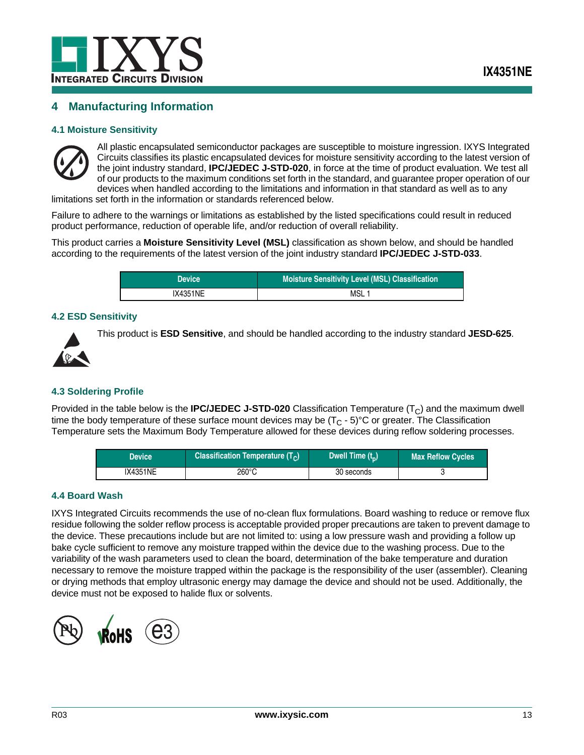

### <span id="page-12-0"></span>**4 Manufacturing Information**

#### <span id="page-12-1"></span>**4.1 Moisture Sensitivity**



All plastic encapsulated semiconductor packages are susceptible to moisture ingression. IXYS Integrated Circuits classifies its plastic encapsulated devices for moisture sensitivity according to the latest version of the joint industry standard, **IPC/JEDEC J-STD-020**, in force at the time of product evaluation. We test all of our products to the maximum conditions set forth in the standard, and guarantee proper operation of our devices when handled according to the limitations and information in that standard as well as to any

limitations set forth in the information or standards referenced below.

Failure to adhere to the warnings or limitations as established by the listed specifications could result in reduced product performance, reduction of operable life, and/or reduction of overall reliability.

This product carries a **Moisture Sensitivity Level (MSL)** classification as shown below, and should be handled according to the requirements of the latest version of the joint industry standard **IPC/JEDEC J-STD-033**.

| <b>Device</b> | <b>Moisture Sensitivity Level (MSL) Classification</b> |
|---------------|--------------------------------------------------------|
| IX4351NE      | MSL <sub>1</sub>                                       |

#### <span id="page-12-2"></span>**4.2 ESD Sensitivity**

This product is **ESD Sensitive**, and should be handled according to the industry standard **JESD-625**.



#### <span id="page-12-3"></span>**4.3 Soldering Profile**

Provided in the table below is the **IPC/JEDEC J-STD-020** Classification Temperature (T<sub>C</sub>) and the maximum dwell time the body temperature of these surface mount devices may be  $(T<sub>C</sub> - 5)$ °C or greater. The Classification Temperature sets the Maximum Body Temperature allowed for these devices during reflow soldering processes.

| <b>Device</b> | Classification Temperature $(T_C)$ | Dwell Time $(t_n)$ | <b>Max Reflow Cycles</b> |
|---------------|------------------------------------|--------------------|--------------------------|
| IX4351NE      | 260°C                              | 30 seconds         |                          |

#### <span id="page-12-4"></span>**4.4 Board Wash**

IXYS Integrated Circuits recommends the use of no-clean flux formulations. Board washing to reduce or remove flux residue following the solder reflow process is acceptable provided proper precautions are taken to prevent damage to the device. These precautions include but are not limited to: using a low pressure wash and providing a follow up bake cycle sufficient to remove any moisture trapped within the device due to the washing process. Due to the variability of the wash parameters used to clean the board, determination of the bake temperature and duration necessary to remove the moisture trapped within the package is the responsibility of the user (assembler). Cleaning or drying methods that employ ultrasonic energy may damage the device and should not be used. Additionally, the device must not be exposed to halide flux or solvents.